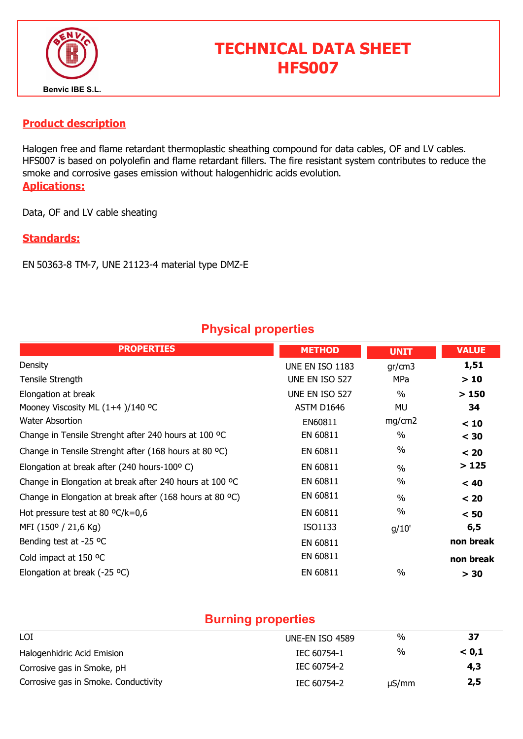

# TECHNICAL DATA SHEET HFS007

#### Product description

Halogen free and flame retardant thermoplastic sheathing compound for data cables, OF and LV cables. HFS007 is based on polyolefin and flame retardant fillers. The fire resistant system contributes to reduce the smoke and corrosive gases emission without halogenhidric acids evolution. Aplications:

Data, OF and LV cable sheating

#### Standards:

EN 50363-8 TM-7, UNE 21123-4 material type DMZ-E

### Physical properties

| <b>PROPERTIES</b>                                        | <b>METHOD</b>          | <b>UNIT</b>   | <b>VALUE</b> |
|----------------------------------------------------------|------------------------|---------------|--------------|
| Density                                                  | <b>UNE EN ISO 1183</b> | gr/cm3        | 1,51         |
| Tensile Strength                                         | UNE EN ISO 527         | MPa           | >10          |
| Elongation at break                                      | UNE EN ISO 527         | $\frac{0}{0}$ | >150         |
| Mooney Viscosity ML (1+4)/140 °C                         | ASTM D1646             | MU            | 34           |
| <b>Water Absortion</b>                                   | EN60811                | mg/cm2        | < 10         |
| Change in Tensile Strenght after 240 hours at 100 °C     | EN 60811               | $\%$          | $<$ 30       |
| Change in Tensile Strenght after (168 hours at 80 °C)    | EN 60811               | $\%$          | < 20         |
| Elongation at break after (240 hours-100°C)              | EN 60811               | $\frac{0}{0}$ | >125         |
| Change in Elongation at break after 240 hours at 100 °C  | EN 60811               | $\frac{0}{0}$ | < 40         |
| Change in Elongation at break after (168 hours at 80 °C) | EN 60811               | $\frac{0}{0}$ | < 20         |
| Hot pressure test at 80 $^{\circ}$ C/k=0,6               | EN 60811               | $\%$          | < 50         |
| MFI (150° / 21,6 Kg)                                     | ISO1133                | g/10'         | 6, 5         |
| Bending test at -25 °C                                   | EN 60811               |               | non break    |
| Cold impact at 150 °C                                    | EN 60811               |               | non break    |
| Elongation at break (-25 $^{\circ}$ C)                   | EN 60811               | $\%$          | > 30         |

#### Burning properties

| LOI                                  | UNE-EN ISO 4589 | %          | 37    |
|--------------------------------------|-----------------|------------|-------|
| Halogenhidric Acid Emision           | IEC 60754-1     | %          | < 0.1 |
| Corrosive gas in Smoke, pH           | IEC 60754-2     |            | 4,3   |
| Corrosive gas in Smoke. Conductivity | IEC 60754-2     | $\mu S/mm$ | 2,5   |